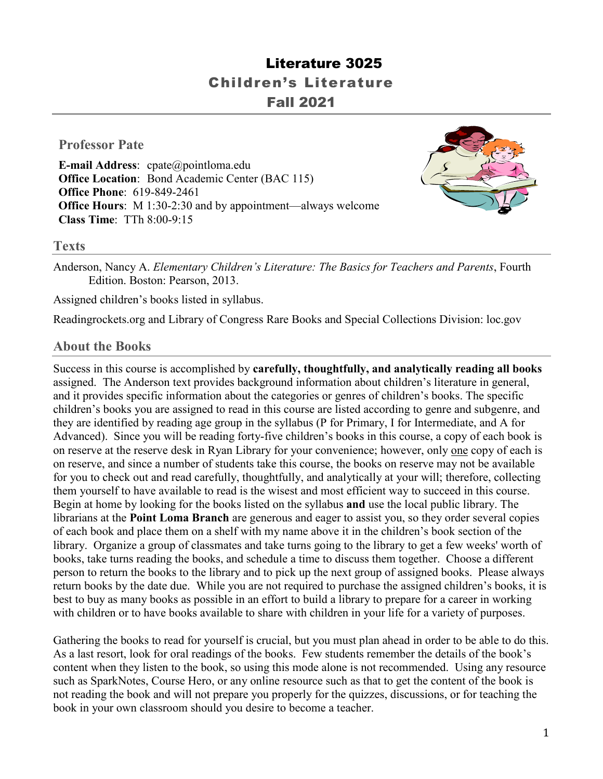# Literature 3025 Children's Literature Fall 2021

### **Professor Pate**

**E-mail Address**: cpate@pointloma.edu **Office Location:** Bond Academic Center (BAC 115) **Office Phone**: 619-849-2461 **Office Hours**: M 1:30-2:30 and by appointment—always welcome **Class Time**: TTh 8:00-9:15



#### **Texts**

Anderson, Nancy A. *Elementary Children's Literature: The Basics for Teachers and Parents*, Fourth Edition. Boston: Pearson, 2013.

Assigned children's books listed in syllabus.

Readingrockets.org and Library of Congress Rare Books and Special Collections Division: loc.gov

#### **About the Books**

Success in this course is accomplished by **carefully, thoughtfully, and analytically reading all books**  assigned. The Anderson text provides background information about children's literature in general, and it provides specific information about the categories or genres of children's books. The specific children's books you are assigned to read in this course are listed according to genre and subgenre, and they are identified by reading age group in the syllabus (P for Primary, I for Intermediate, and A for Advanced). Since you will be reading forty-five children's books in this course, a copy of each book is on reserve at the reserve desk in Ryan Library for your convenience; however, only one copy of each is on reserve, and since a number of students take this course, the books on reserve may not be available for you to check out and read carefully, thoughtfully, and analytically at your will; therefore, collecting them yourself to have available to read is the wisest and most efficient way to succeed in this course. Begin at home by looking for the books listed on the syllabus **and** use the local public library. The librarians at the **Point Loma Branch** are generous and eager to assist you, so they order several copies of each book and place them on a shelf with my name above it in the children's book section of the library. Organize a group of classmates and take turns going to the library to get a few weeks' worth of books, take turns reading the books, and schedule a time to discuss them together. Choose a different person to return the books to the library and to pick up the next group of assigned books. Please always return books by the date due. While you are not required to purchase the assigned children's books, it is best to buy as many books as possible in an effort to build a library to prepare for a career in working with children or to have books available to share with children in your life for a variety of purposes.

Gathering the books to read for yourself is crucial, but you must plan ahead in order to be able to do this. As a last resort, look for oral readings of the books. Few students remember the details of the book's content when they listen to the book, so using this mode alone is not recommended. Using any resource such as SparkNotes, Course Hero, or any online resource such as that to get the content of the book is not reading the book and will not prepare you properly for the quizzes, discussions, or for teaching the book in your own classroom should you desire to become a teacher.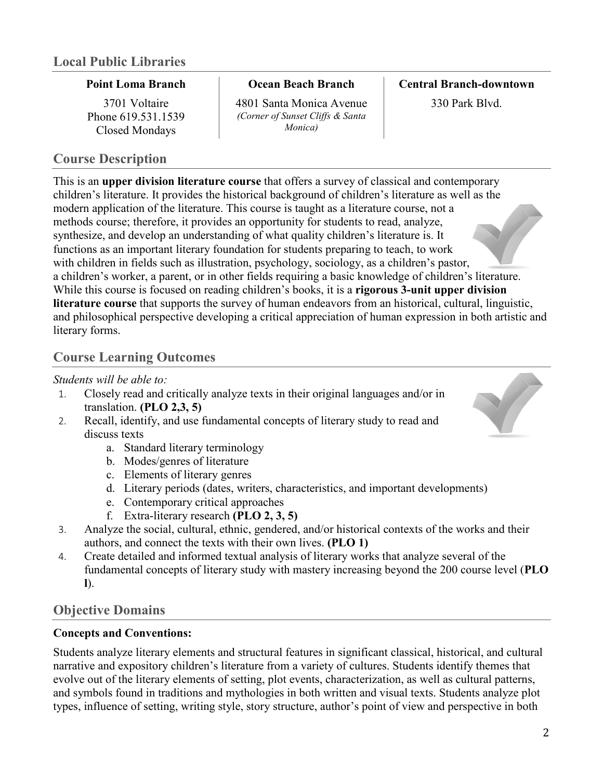#### **Point Loma Branch**

3701 Voltaire Phone 619.531.1539 Closed Mondays

## **Course Description**

#### **Ocean Beach Branch**

4801 Santa Monica Avenue *(Corner of Sunset Cliffs & Santa Monica)*

**Central Branch-downtown**

330 Park Blvd.

This is an **upper division literature course** that offers a survey of classical and contemporary children's literature. It provides the historical background of children's literature as well as the modern application of the literature. This course is taught as a literature course, not a methods course; therefore, it provides an opportunity for students to read, analyze, synthesize, and develop an understanding of what quality children's literature is. It functions as an important literary foundation for students preparing to teach, to work with children in fields such as illustration, psychology, sociology, as a children's pastor, a children's worker, a parent, or in other fields requiring a basic knowledge of children's literature. While this course is focused on reading children's books, it is a **rigorous 3-unit upper division literature course** that supports the survey of human endeavors from an historical, cultural, linguistic, and philosophical perspective developing a critical appreciation of human expression in both artistic and literary forms.

## **Course Learning Outcomes**

#### *Students will be able to:*

- 1. Closely read and critically analyze texts in their original languages and/or in translation. **(PLO 2,3, 5)**
- 2. Recall, identify, and use fundamental concepts of literary study to read and discuss texts
	- a. Standard literary terminology
	- b. Modes/genres of literature
	- c. Elements of literary genres
	- d. Literary periods (dates, writers, characteristics, and important developments)
	- e. Contemporary critical approaches
	- f. Extra-literary research **(PLO 2, 3, 5)**
- 3. Analyze the social, cultural, ethnic, gendered, and/or historical contexts of the works and their authors, and connect the texts with their own lives. **(PLO 1)**
- 4. Create detailed and informed textual analysis of literary works that analyze several of the fundamental concepts of literary study with mastery increasing beyond the 200 course level (**PLO l**).

## **Objective Domains**

## **Concepts and Conventions:**

Students analyze literary elements and structural features in significant classical, historical, and cultural narrative and expository children's literature from a variety of cultures. Students identify themes that evolve out of the literary elements of setting, plot events, characterization, as well as cultural patterns, and symbols found in traditions and mythologies in both written and visual texts. Students analyze plot types, influence of setting, writing style, story structure, author's point of view and perspective in both

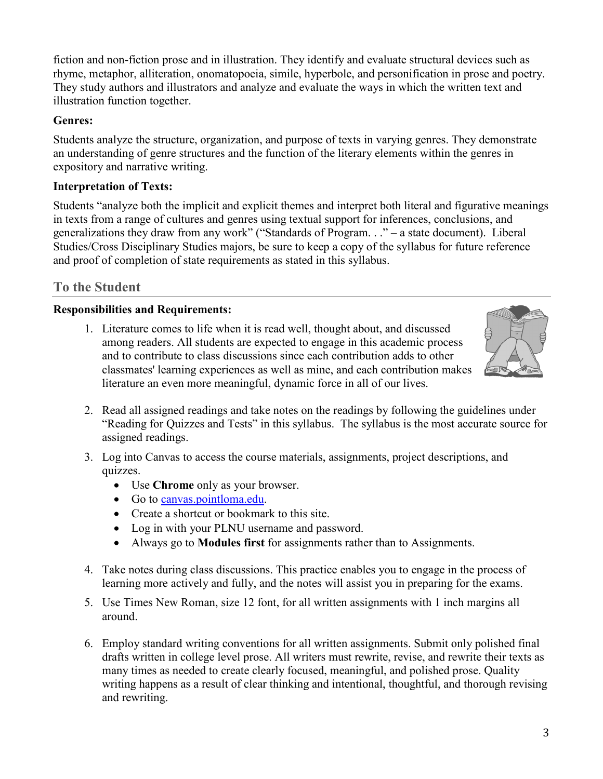fiction and non-fiction prose and in illustration. They identify and evaluate structural devices such as rhyme, metaphor, alliteration, onomatopoeia, simile, hyperbole, and personification in prose and poetry. They study authors and illustrators and analyze and evaluate the ways in which the written text and illustration function together.

#### **Genres:**

Students analyze the structure, organization, and purpose of texts in varying genres. They demonstrate an understanding of genre structures and the function of the literary elements within the genres in expository and narrative writing.

## **Interpretation of Texts:**

Students "analyze both the implicit and explicit themes and interpret both literal and figurative meanings in texts from a range of cultures and genres using textual support for inferences, conclusions, and generalizations they draw from any work" ("Standards of Program. . ." – a state document). Liberal Studies/Cross Disciplinary Studies majors, be sure to keep a copy of the syllabus for future reference and proof of completion of state requirements as stated in this syllabus.

## **To the Student**

## **Responsibilities and Requirements:**

1. Literature comes to life when it is read well, thought about, and discussed among readers. All students are expected to engage in this academic process and to contribute to class discussions since each contribution adds to other classmates' learning experiences as well as mine, and each contribution makes literature an even more meaningful, dynamic force in all of our lives.



- 2. Read all assigned readings and take notes on the readings by following the guidelines under "Reading for Quizzes and Tests" in this syllabus. The syllabus is the most accurate source for assigned readings.
- 3. Log into Canvas to access the course materials, assignments, project descriptions, and quizzes.
	- Use **Chrome** only as your browser.
	- Go to [canvas.pointloma.edu.](http://canvas.pointloma.edu/)
	- Create a shortcut or bookmark to this site.
	- Log in with your PLNU username and password.
	- Always go to **Modules first** for assignments rather than to Assignments.
- 4. Take notes during class discussions. This practice enables you to engage in the process of learning more actively and fully, and the notes will assist you in preparing for the exams.
- 5. Use Times New Roman, size 12 font, for all written assignments with 1 inch margins all around.
- 6. Employ standard writing conventions for all written assignments. Submit only polished final drafts written in college level prose. All writers must rewrite, revise, and rewrite their texts as many times as needed to create clearly focused, meaningful, and polished prose. Quality writing happens as a result of clear thinking and intentional, thoughtful, and thorough revising and rewriting.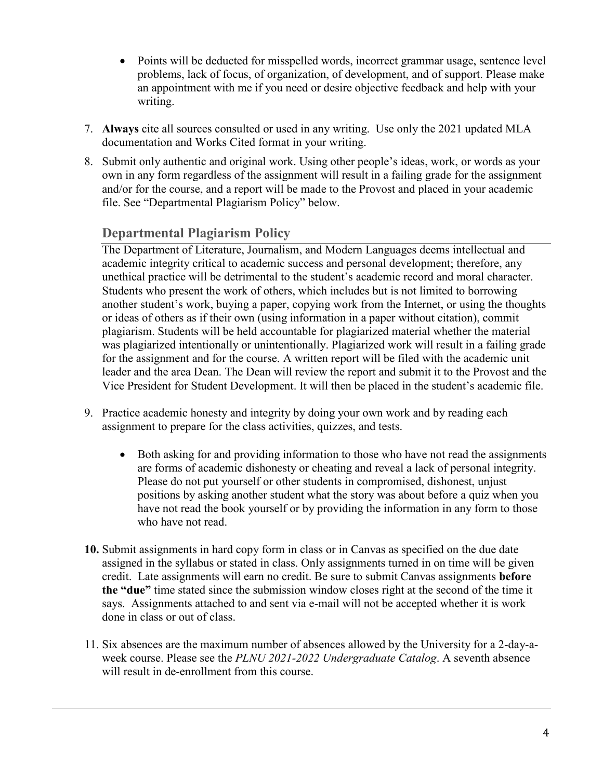- Points will be deducted for misspelled words, incorrect grammar usage, sentence level problems, lack of focus, of organization, of development, and of support. Please make an appointment with me if you need or desire objective feedback and help with your writing.
- 7. **Always** cite all sources consulted or used in any writing. Use only the 2021 updated MLA documentation and Works Cited format in your writing.
- 8. Submit only authentic and original work. Using other people's ideas, work, or words as your own in any form regardless of the assignment will result in a failing grade for the assignment and/or for the course, and a report will be made to the Provost and placed in your academic file. See "Departmental Plagiarism Policy" below.

## **Departmental Plagiarism Policy**

The Department of Literature, Journalism, and Modern Languages deems intellectual and academic integrity critical to academic success and personal development; therefore, any unethical practice will be detrimental to the student's academic record and moral character. Students who present the work of others, which includes but is not limited to borrowing another student's work, buying a paper, copying work from the Internet, or using the thoughts or ideas of others as if their own (using information in a paper without citation), commit plagiarism. Students will be held accountable for plagiarized material whether the material was plagiarized intentionally or unintentionally. Plagiarized work will result in a failing grade for the assignment and for the course. A written report will be filed with the academic unit leader and the area Dean. The Dean will review the report and submit it to the Provost and the Vice President for Student Development. It will then be placed in the student's academic file.

- 9. Practice academic honesty and integrity by doing your own work and by reading each assignment to prepare for the class activities, quizzes, and tests.
	- Both asking for and providing information to those who have not read the assignments are forms of academic dishonesty or cheating and reveal a lack of personal integrity. Please do not put yourself or other students in compromised, dishonest, unjust positions by asking another student what the story was about before a quiz when you have not read the book yourself or by providing the information in any form to those who have not read.
- **10.** Submit assignments in hard copy form in class or in Canvas as specified on the due date assigned in the syllabus or stated in class. Only assignments turned in on time will be given credit. Late assignments will earn no credit. Be sure to submit Canvas assignments **before the "due"** time stated since the submission window closes right at the second of the time it says. Assignments attached to and sent via e-mail will not be accepted whether it is work done in class or out of class.
- 11. Six absences are the maximum number of absences allowed by the University for a 2-day-aweek course. Please see the *PLNU 2021-2022 Undergraduate Catalog*. A seventh absence will result in de-enrollment from this course.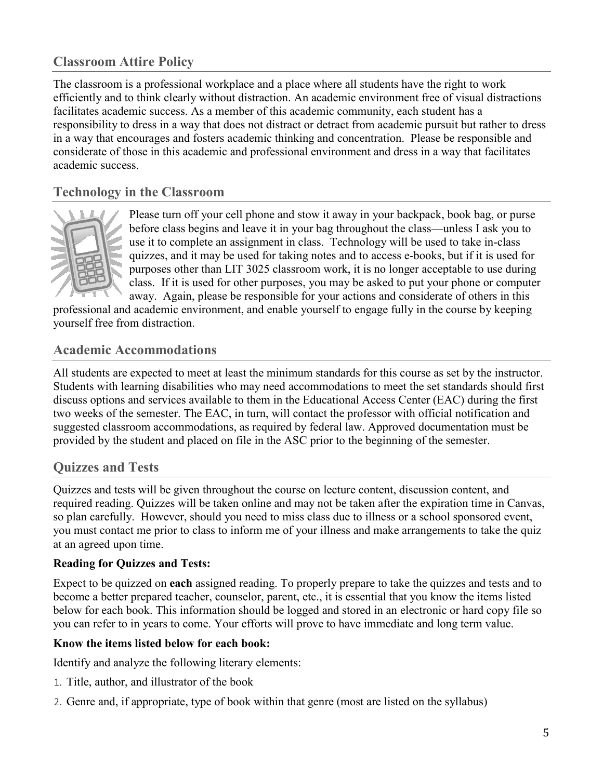## **Classroom Attire Policy**

The classroom is a professional workplace and a place where all students have the right to work efficiently and to think clearly without distraction. An academic environment free of visual distractions facilitates academic success. As a member of this academic community, each student has a responsibility to dress in a way that does not distract or detract from academic pursuit but rather to dress in a way that encourages and fosters academic thinking and concentration. Please be responsible and considerate of those in this academic and professional environment and dress in a way that facilitates academic success.

## **Technology in the Classroom**



Please turn off your cell phone and stow it away in your backpack, book bag, or purse before class begins and leave it in your bag throughout the class—unless I ask you to use it to complete an assignment in class. Technology will be used to take in-class quizzes, and it may be used for taking notes and to access e-books, but if it is used for purposes other than LIT 3025 classroom work, it is no longer acceptable to use during class. If it is used for other purposes, you may be asked to put your phone or computer away. Again, please be responsible for your actions and considerate of others in this

professional and academic environment, and enable yourself to engage fully in the course by keeping yourself free from distraction.

## **Academic Accommodations**

All students are expected to meet at least the minimum standards for this course as set by the instructor. Students with learning disabilities who may need accommodations to meet the set standards should first discuss options and services available to them in the Educational Access Center (EAC) during the first two weeks of the semester. The EAC, in turn, will contact the professor with official notification and suggested classroom accommodations, as required by federal law. Approved documentation must be provided by the student and placed on file in the ASC prior to the beginning of the semester.

## **Quizzes and Tests**

Quizzes and tests will be given throughout the course on lecture content, discussion content, and required reading. Quizzes will be taken online and may not be taken after the expiration time in Canvas, so plan carefully. However, should you need to miss class due to illness or a school sponsored event, you must contact me prior to class to inform me of your illness and make arrangements to take the quiz at an agreed upon time.

#### **Reading for Quizzes and Tests:**

Expect to be quizzed on **each** assigned reading. To properly prepare to take the quizzes and tests and to become a better prepared teacher, counselor, parent, etc., it is essential that you know the items listed below for each book. This information should be logged and stored in an electronic or hard copy file so you can refer to in years to come. Your efforts will prove to have immediate and long term value.

#### **Know the items listed below for each book:**

Identify and analyze the following literary elements:

- 1. Title, author, and illustrator of the book
- 2. Genre and, if appropriate, type of book within that genre (most are listed on the syllabus)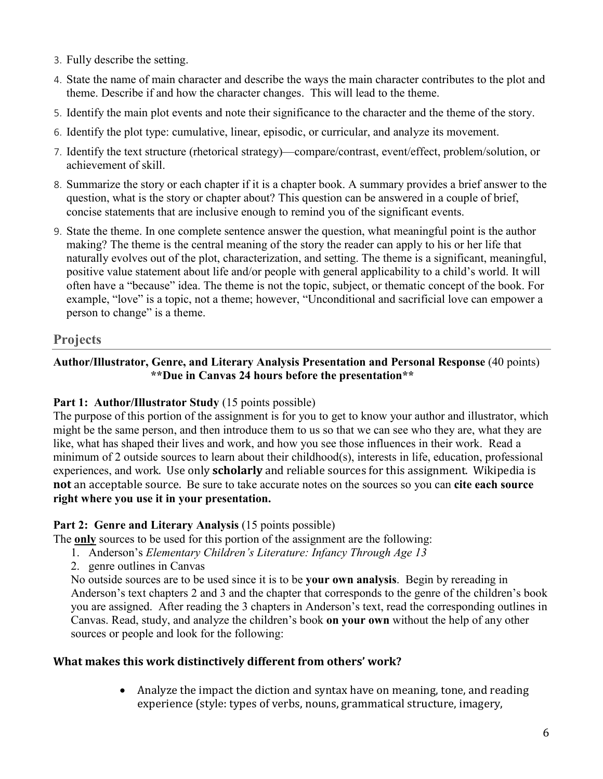- 3. Fully describe the setting.
- 4. State the name of main character and describe the ways the main character contributes to the plot and theme. Describe if and how the character changes. This will lead to the theme.
- 5. Identify the main plot events and note their significance to the character and the theme of the story.
- 6. Identify the plot type: cumulative, linear, episodic, or curricular, and analyze its movement.
- 7. Identify the text structure (rhetorical strategy)—compare/contrast, event/effect, problem/solution, or achievement of skill.
- 8. Summarize the story or each chapter if it is a chapter book. A summary provides a brief answer to the question, what is the story or chapter about? This question can be answered in a couple of brief, concise statements that are inclusive enough to remind you of the significant events.
- 9. State the theme. In one complete sentence answer the question, what meaningful point is the author making? The theme is the central meaning of the story the reader can apply to his or her life that naturally evolves out of the plot, characterization, and setting. The theme is a significant, meaningful, positive value statement about life and/or people with general applicability to a child's world. It will often have a "because" idea. The theme is not the topic, subject, or thematic concept of the book. For example, "love" is a topic, not a theme; however, "Unconditional and sacrificial love can empower a person to change" is a theme.

## **Projects**

### **Author/Illustrator, Genre, and Literary Analysis Presentation and Personal Response** (40 points)  **\*\*Due in Canvas 24 hours before the presentation\*\***

#### **Part 1: Author/Illustrator Study** (15 points possible)

The purpose of this portion of the assignment is for you to get to know your author and illustrator, which might be the same person, and then introduce them to us so that we can see who they are, what they are like, what has shaped their lives and work, and how you see those influences in their work. Read a minimum of 2 outside sources to learn about their childhood(s), interests in life, education, professional experiences, and work. Use only **scholarly** and reliable sources for this assignment. Wikipedia is **not** an acceptable source. Be sure to take accurate notes on the sources so you can **cite each source right where you use it in your presentation.**

#### Part 2: Genre and Literary Analysis (15 points possible)

The **only** sources to be used for this portion of the assignment are the following:

- 1. Anderson's *Elementary Children's Literature: Infancy Through Age 13*
- 2. genre outlines in Canvas

No outside sources are to be used since it is to be **your own analysis**. Begin by rereading in Anderson's text chapters 2 and 3 and the chapter that corresponds to the genre of the children's book you are assigned. After reading the 3 chapters in Anderson's text, read the corresponding outlines in Canvas. Read, study, and analyze the children's book **on your own** without the help of any other sources or people and look for the following:

#### **What makes this work distinctively different from others' work?**

• Analyze the impact the diction and syntax have on meaning, tone, and reading experience (style: types of verbs, nouns, grammatical structure, imagery,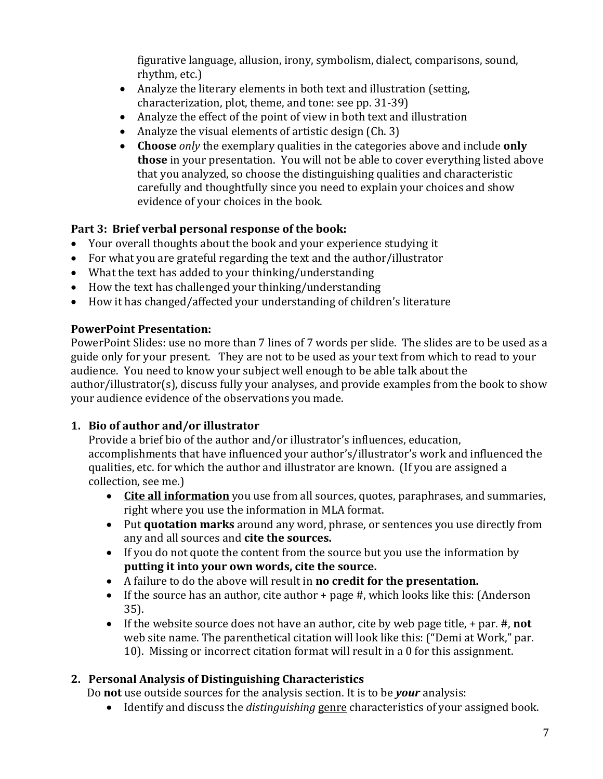figurative language, allusion, irony, symbolism, dialect, comparisons, sound, rhythm, etc.)

- Analyze the literary elements in both text and illustration (setting, characterization, plot, theme, and tone: see pp. 31-39)
- Analyze the effect of the point of view in both text and illustration
- Analyze the visual elements of artistic design (Ch. 3)
- **Choose** *only* the exemplary qualities in the categories above and include **only those** in your presentation. You will not be able to cover everything listed above that you analyzed, so choose the distinguishing qualities and characteristic carefully and thoughtfully since you need to explain your choices and show evidence of your choices in the book.

## **Part 3: Brief verbal personal response of the book:**

- Your overall thoughts about the book and your experience studying it
- For what you are grateful regarding the text and the author/illustrator
- What the text has added to your thinking/understanding
- How the text has challenged your thinking/understanding
- How it has changed/affected your understanding of children's literature

## **PowerPoint Presentation:**

PowerPoint Slides: use no more than 7 lines of 7 words per slide. The slides are to be used as a guide only for your present. They are not to be used as your text from which to read to your audience. You need to know your subject well enough to be able talk about the author/illustrator(s), discuss fully your analyses, and provide examples from the book to show your audience evidence of the observations you made.

## **1. Bio of author and/or illustrator**

Provide a brief bio of the author and/or illustrator's influences, education, accomplishments that have influenced your author's/illustrator's work and influenced the qualities, etc. for which the author and illustrator are known. (If you are assigned a collection, see me.)

- **Cite all information** you use from all sources, quotes, paraphrases, and summaries, right where you use the information in MLA format.
- Put **quotation marks** around any word, phrase, or sentences you use directly from any and all sources and **cite the sources.**
- If you do not quote the content from the source but you use the information by **putting it into your own words, cite the source.**
- A failure to do the above will result in **no credit for the presentation.**
- If the source has an author, cite author + page #, which looks like this: (Anderson 35).
- If the website source does not have an author, cite by web page title, + par. #, **not**  web site name. The parenthetical citation will look like this: ("Demi at Work," par. 10). Missing or incorrect citation format will result in a 0 for this assignment.

## **2. Personal Analysis of Distinguishing Characteristics**

Do **not** use outside sources for the analysis section. It is to be *your* analysis:

• Identify and discuss the *distinguishing* genre characteristics of your assigned book.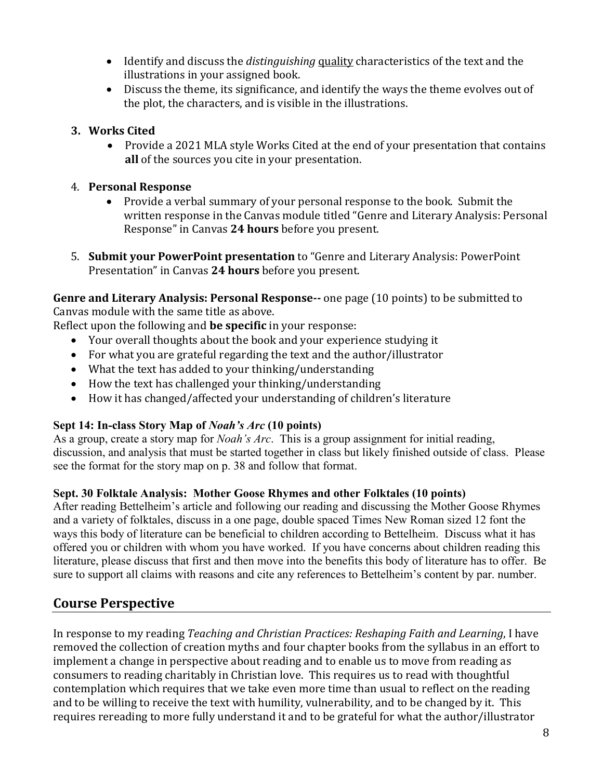- Identify and discuss the *distinguishing* quality characteristics of the text and the illustrations in your assigned book.
- Discuss the theme, its significance, and identify the ways the theme evolves out of the plot, the characters, and is visible in the illustrations.

## **3. Works Cited**

• Provide a 2021 MLA style Works Cited at the end of your presentation that contains **all** of the sources you cite in your presentation.

## 4. **Personal Response**

- Provide a verbal summary of your personal response to the book. Submit the written response in the Canvas module titled "Genre and Literary Analysis: Personal Response" in Canvas **24 hours** before you present.
- 5. **Submit your PowerPoint presentation** to "Genre and Literary Analysis: PowerPoint Presentation" in Canvas **24 hours** before you present.

**Genre and Literary Analysis: Personal Response--** one page (10 points) to be submitted to Canvas module with the same title as above.

Reflect upon the following and **be specific** in your response:

- Your overall thoughts about the book and your experience studying it
- For what you are grateful regarding the text and the author/illustrator
- What the text has added to your thinking/understanding
- How the text has challenged your thinking/understanding
- How it has changed/affected your understanding of children's literature

## **Sept 14: In-class Story Map of** *Noah's Arc* **(10 points)**

As a group, create a story map for *Noah's Arc*. This is a group assignment for initial reading, discussion, and analysis that must be started together in class but likely finished outside of class. Please see the format for the story map on p. 38 and follow that format.

## **Sept. 30 Folktale Analysis: Mother Goose Rhymes and other Folktales (10 points)**

After reading Bettelheim's article and following our reading and discussing the Mother Goose Rhymes and a variety of folktales, discuss in a one page, double spaced Times New Roman sized 12 font the ways this body of literature can be beneficial to children according to Bettelheim. Discuss what it has offered you or children with whom you have worked. If you have concerns about children reading this literature, please discuss that first and then move into the benefits this body of literature has to offer. Be sure to support all claims with reasons and cite any references to Bettelheim's content by par. number.

## **Course Perspective**

In response to my reading *Teaching and Christian Practices: Reshaping Faith and Learning*, I have removed the collection of creation myths and four chapter books from the syllabus in an effort to implement a change in perspective about reading and to enable us to move from reading as consumers to reading charitably in Christian love. This requires us to read with thoughtful contemplation which requires that we take even more time than usual to reflect on the reading and to be willing to receive the text with humility, vulnerability, and to be changed by it. This requires rereading to more fully understand it and to be grateful for what the author/illustrator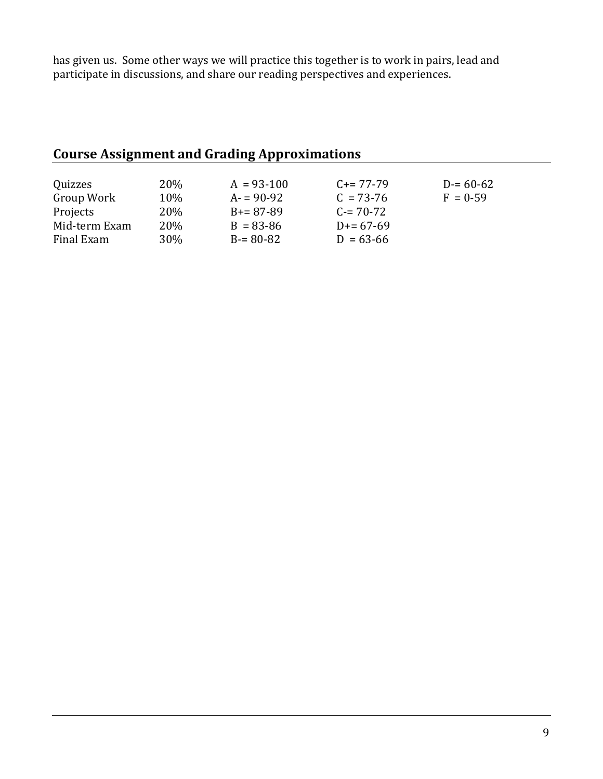has given us. Some other ways we will practice this together is to work in pairs, lead and participate in discussions, and share our reading perspectives and experiences.

# **Course Assignment and Grading Approximations**

| Quizzes<br>Group Work | <b>20%</b><br>10% | $A = 93-100$<br>$A = 90-92$ | $C = 77-79$<br>$C = 73-76$ | $D = 60 - 62$<br>$F = 0.59$ |
|-----------------------|-------------------|-----------------------------|----------------------------|-----------------------------|
| Projects              | <b>20%</b>        | $B = 87-89$                 | $C = 70-72$                |                             |
| Mid-term Exam         | <b>20%</b>        | $B = 83 - 86$               | $D = 67-69$                |                             |
| Final Exam            | 30%               | $B = 80 - 82$               | $D = 63 - 66$              |                             |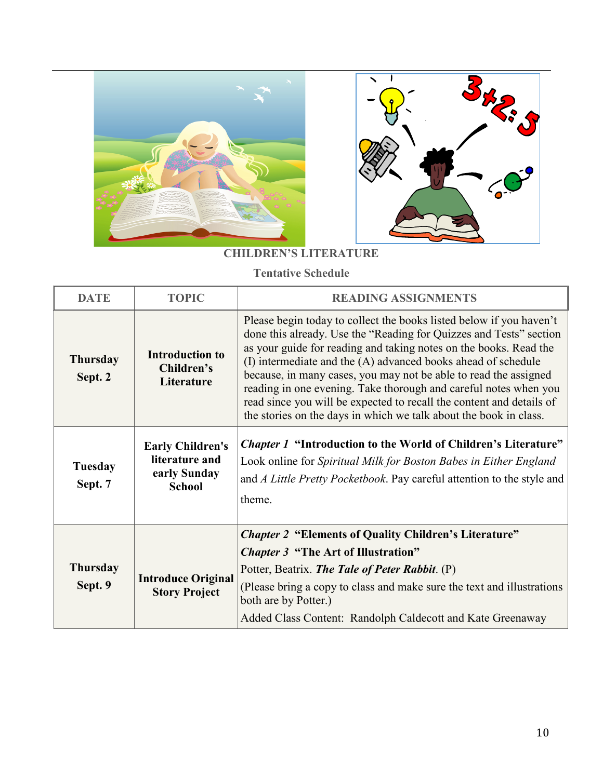



## **CHILDREN'S LITERATURE**

**Tentative Schedule**

| <b>DATE</b>                | <b>TOPIC</b>                                                               | <b>READING ASSIGNMENTS</b>                                                                                                                                                                                                                                                                                                                                                                                                                                                                                                                                           |
|----------------------------|----------------------------------------------------------------------------|----------------------------------------------------------------------------------------------------------------------------------------------------------------------------------------------------------------------------------------------------------------------------------------------------------------------------------------------------------------------------------------------------------------------------------------------------------------------------------------------------------------------------------------------------------------------|
| <b>Thursday</b><br>Sept. 2 | <b>Introduction to</b><br>Children's<br>Literature                         | Please begin today to collect the books listed below if you haven't<br>done this already. Use the "Reading for Quizzes and Tests" section<br>as your guide for reading and taking notes on the books. Read the<br>(I) intermediate and the (A) advanced books ahead of schedule<br>because, in many cases, you may not be able to read the assigned<br>reading in one evening. Take thorough and careful notes when you<br>read since you will be expected to recall the content and details of<br>the stories on the days in which we talk about the book in class. |
| <b>Tuesday</b><br>Sept. 7  | <b>Early Children's</b><br>literature and<br>early Sunday<br><b>School</b> | <i>Chapter 1</i> "Introduction to the World of Children's Literature"<br>Look online for Spiritual Milk for Boston Babes in Either England<br>and A Little Pretty Pocketbook. Pay careful attention to the style and<br>theme.                                                                                                                                                                                                                                                                                                                                       |
|                            |                                                                            | <b>Chapter 2 "Elements of Quality Children's Literature"</b>                                                                                                                                                                                                                                                                                                                                                                                                                                                                                                         |
| <b>Thursday</b><br>Sept. 9 | <b>Introduce Original</b><br><b>Story Project</b>                          | <i>Chapter 3</i> "The Art of Illustration"<br>Potter, Beatrix. The Tale of Peter Rabbit. (P)<br>(Please bring a copy to class and make sure the text and illustrations<br>both are by Potter.)<br>Added Class Content: Randolph Caldecott and Kate Greenaway                                                                                                                                                                                                                                                                                                         |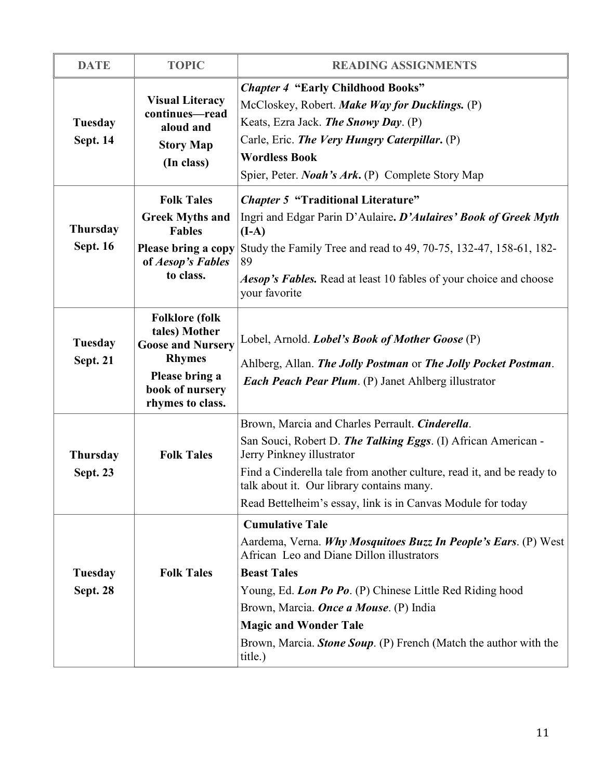| <b>DATE</b>                        | <b>TOPIC</b>                                                                                                                                 | <b>READING ASSIGNMENTS</b>                                                                                                                                                                                                                                                                                                                                                       |
|------------------------------------|----------------------------------------------------------------------------------------------------------------------------------------------|----------------------------------------------------------------------------------------------------------------------------------------------------------------------------------------------------------------------------------------------------------------------------------------------------------------------------------------------------------------------------------|
| Tuesday<br><b>Sept. 14</b>         | <b>Visual Literacy</b><br>continues-read<br>aloud and<br><b>Story Map</b><br>(In class)                                                      | <b>Chapter 4 "Early Childhood Books"</b><br>McCloskey, Robert. Make Way for Ducklings. (P)<br>Keats, Ezra Jack. The Snowy Day. (P)<br>Carle, Eric. The Very Hungry Caterpillar. (P)<br><b>Wordless Book</b><br>Spier, Peter. <i>Noah's Ark</i> . (P) Complete Story Map                                                                                                          |
| <b>Thursday</b><br><b>Sept. 16</b> | <b>Folk Tales</b><br><b>Greek Myths and</b><br><b>Fables</b><br>Please bring a copy<br>of Aesop's Fables<br>to class.                        | <b>Chapter 5 "Traditional Literature"</b><br>Ingri and Edgar Parin D'Aulaire. D'Aulaires' Book of Greek Myth<br>$(I-A)$<br>Study the Family Tree and read to 49, 70-75, 132-47, 158-61, 182-<br>89<br>Aesop's Fables. Read at least 10 fables of your choice and choose<br>your favorite                                                                                         |
| Tuesday<br><b>Sept. 21</b>         | <b>Folklore</b> (folk<br>tales) Mother<br><b>Goose and Nursery</b><br><b>Rhymes</b><br>Please bring a<br>book of nursery<br>rhymes to class. | Lobel, Arnold. Lobel's Book of Mother Goose (P)<br>Ahlberg, Allan. The Jolly Postman or The Jolly Pocket Postman.<br><b>Each Peach Pear Plum.</b> (P) Janet Ahlberg illustrator                                                                                                                                                                                                  |
| <b>Thursday</b><br><b>Sept. 23</b> | <b>Folk Tales</b>                                                                                                                            | Brown, Marcia and Charles Perrault. Cinderella.<br>San Souci, Robert D. The Talking Eggs. (I) African American -<br>Jerry Pinkney illustrator<br>Find a Cinderella tale from another culture, read it, and be ready to<br>talk about it. Our library contains many.<br>Read Bettelheim's essay, link is in Canvas Module for today                                               |
| Tuesday<br><b>Sept. 28</b>         | <b>Folk Tales</b>                                                                                                                            | <b>Cumulative Tale</b><br>Aardema, Verna. Why Mosquitoes Buzz In People's Ears. (P) West<br>African Leo and Diane Dillon illustrators<br><b>Beast Tales</b><br>Young, Ed. Lon Po Po. (P) Chinese Little Red Riding hood<br>Brown, Marcia. Once a Mouse. (P) India<br><b>Magic and Wonder Tale</b><br>Brown, Marcia. Stone Soup. (P) French (Match the author with the<br>title.) |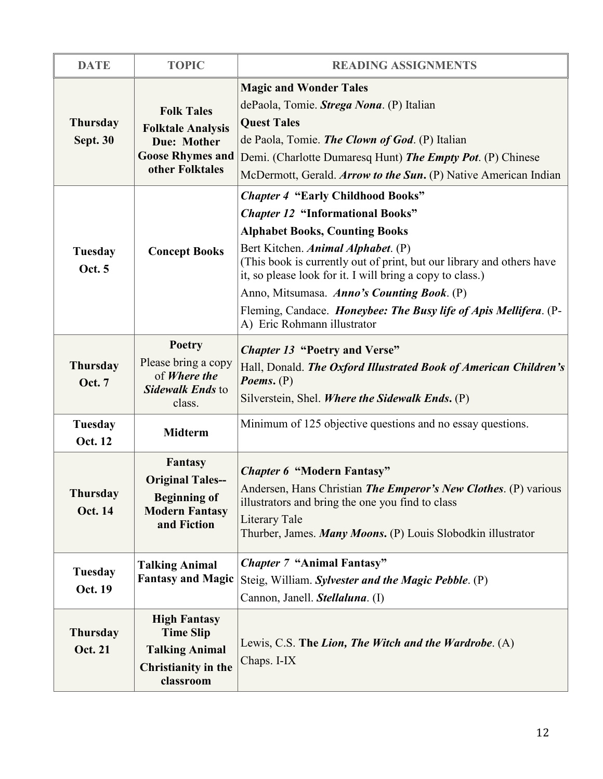| <b>DATE</b>                        | <b>TOPIC</b>                                                                                                      | <b>READING ASSIGNMENTS</b>                                                                                                                                                                                                                                                                                                                                                                                                                                |
|------------------------------------|-------------------------------------------------------------------------------------------------------------------|-----------------------------------------------------------------------------------------------------------------------------------------------------------------------------------------------------------------------------------------------------------------------------------------------------------------------------------------------------------------------------------------------------------------------------------------------------------|
| <b>Thursday</b><br><b>Sept. 30</b> | <b>Folk Tales</b><br><b>Folktale Analysis</b><br><b>Due: Mother</b><br><b>Goose Rhymes and</b><br>other Folktales | <b>Magic and Wonder Tales</b><br>dePaola, Tomie. Strega Nona. (P) Italian<br><b>Quest Tales</b><br>de Paola, Tomie. <i>The Clown of God</i> . (P) Italian<br>Demi. (Charlotte Dumaresq Hunt) The Empty Pot. (P) Chinese<br>McDermott, Gerald. Arrow to the Sun. (P) Native American Indian                                                                                                                                                                |
| Tuesday<br>Oct. 5                  | <b>Concept Books</b>                                                                                              | <b>Chapter 4 "Early Childhood Books"</b><br><b>Chapter 12 "Informational Books"</b><br><b>Alphabet Books, Counting Books</b><br>Bert Kitchen. Animal Alphabet. (P)<br>(This book is currently out of print, but our library and others have<br>it, so please look for it. I will bring a copy to class.)<br>Anno, Mitsumasa. Anno's Counting Book. (P)<br>Fleming, Candace. Honeybee: The Busy life of Apis Mellifera. (P-<br>A) Eric Rohmann illustrator |
| <b>Thursday</b><br><b>Oct. 7</b>   | <b>Poetry</b><br>Please bring a copy<br>of Where the<br>Sidewalk Ends to<br>class.                                | <b>Chapter 13 "Poetry and Verse"</b><br>Hall, Donald. The Oxford Illustrated Book of American Children's<br>Poems. $(P)$<br>Silverstein, Shel. Where the Sidewalk Ends. (P)                                                                                                                                                                                                                                                                               |
| Tuesday<br>Oct. 12                 | <b>Midterm</b>                                                                                                    | Minimum of 125 objective questions and no essay questions.                                                                                                                                                                                                                                                                                                                                                                                                |
| <b>Thursday</b><br><b>Oct. 14</b>  | Fantasy<br><b>Original Tales--</b><br><b>Beginning of</b><br><b>Modern Fantasy</b><br>and Fiction                 | <b>Chapter 6 "Modern Fantasy"</b><br>Andersen, Hans Christian The Emperor's New Clothes. (P) various<br>illustrators and bring the one you find to class<br>Literary Tale<br>Thurber, James. Many Moons. (P) Louis Slobodkin illustrator                                                                                                                                                                                                                  |
| <b>Tuesday</b><br>Oct. 19          | <b>Talking Animal</b><br><b>Fantasy and Magic</b>                                                                 | <b>Chapter 7 "Animal Fantasy"</b><br>Steig, William. Sylvester and the Magic Pebble. (P)<br>Cannon, Janell. Stellaluna. (I)                                                                                                                                                                                                                                                                                                                               |
| <b>Thursday</b><br><b>Oct. 21</b>  | <b>High Fantasy</b><br><b>Time Slip</b><br><b>Talking Animal</b><br>Christianity in the<br>classroom              | Lewis, C.S. The Lion, The Witch and the Wardrobe. (A)<br>Chaps. I-IX                                                                                                                                                                                                                                                                                                                                                                                      |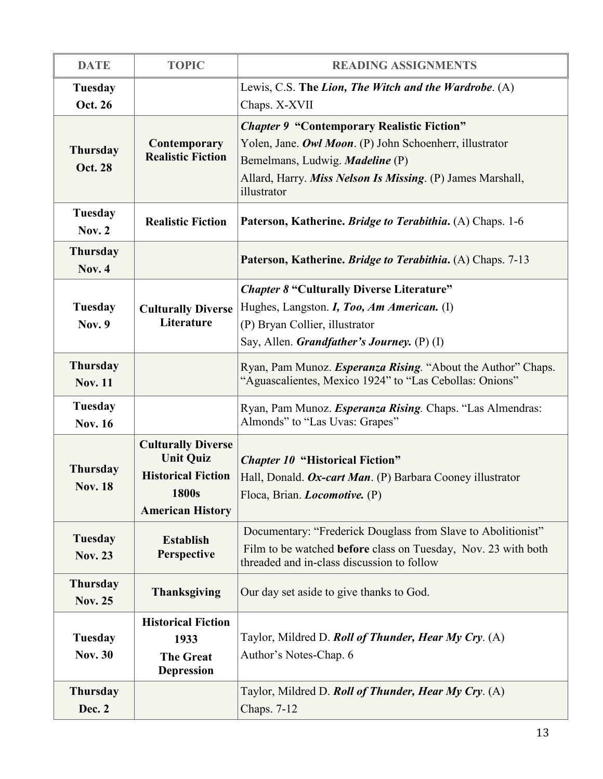| <b>DATE</b>                       | <b>TOPIC</b>                                                                                                          | <b>READING ASSIGNMENTS</b>                                                                                                                                                                                                          |
|-----------------------------------|-----------------------------------------------------------------------------------------------------------------------|-------------------------------------------------------------------------------------------------------------------------------------------------------------------------------------------------------------------------------------|
| Tuesday<br>Oct. 26                |                                                                                                                       | Lewis, C.S. The Lion, The Witch and the Wardrobe. (A)<br>Chaps. X-XVII                                                                                                                                                              |
| <b>Thursday</b><br><b>Oct. 28</b> | Contemporary<br><b>Realistic Fiction</b>                                                                              | <b>Chapter 9 "Contemporary Realistic Fiction"</b><br>Yolen, Jane. Owl Moon. (P) John Schoenherr, illustrator<br>Bemelmans, Ludwig. <i>Madeline</i> (P)<br>Allard, Harry. Miss Nelson Is Missing. (P) James Marshall,<br>illustrator |
| <b>Tuesday</b><br>Nov. $2$        | <b>Realistic Fiction</b>                                                                                              | Paterson, Katherine. Bridge to Terabithia. (A) Chaps. 1-6                                                                                                                                                                           |
| <b>Thursday</b><br><b>Nov. 4</b>  |                                                                                                                       | Paterson, Katherine. <i>Bridge to Terabithia</i> . (A) Chaps. 7-13                                                                                                                                                                  |
| <b>Tuesday</b><br><b>Nov. 9</b>   | <b>Culturally Diverse</b><br>Literature                                                                               | <b>Chapter 8 "Culturally Diverse Literature"</b><br>Hughes, Langston. <i>I, Too, Am American.</i> (I)<br>(P) Bryan Collier, illustrator<br>Say, Allen. Grandfather's Journey. (P) (I)                                               |
| <b>Thursday</b><br><b>Nov. 11</b> |                                                                                                                       | Ryan, Pam Munoz. Esperanza Rising. "About the Author" Chaps.<br>"Aguascalientes, Mexico 1924" to "Las Cebollas: Onions"                                                                                                             |
| <b>Tuesday</b><br><b>Nov. 16</b>  |                                                                                                                       | Ryan, Pam Munoz. Esperanza Rising. Chaps. "Las Almendras:<br>Almonds" to "Las Uvas: Grapes"                                                                                                                                         |
| <b>Thursday</b><br><b>Nov. 18</b> | <b>Culturally Diverse</b><br><b>Unit Quiz</b><br><b>Historical Fiction</b><br><b>1800s</b><br><b>American History</b> | <b>Chapter 10 "Historical Fiction"</b><br>Hall, Donald. Ox-cart Man. (P) Barbara Cooney illustrator<br>Floca, Brian. <i>Locomotive.</i> (P)                                                                                         |
| Tuesday<br><b>Nov. 23</b>         | <b>Establish</b><br>Perspective                                                                                       | Documentary: "Frederick Douglass from Slave to Abolitionist"<br>Film to be watched <b>before</b> class on Tuesday, Nov. 23 with both<br>threaded and in-class discussion to follow                                                  |
| <b>Thursday</b><br><b>Nov. 25</b> | <b>Thanksgiving</b>                                                                                                   | Our day set aside to give thanks to God.                                                                                                                                                                                            |
| <b>Tuesday</b><br><b>Nov. 30</b>  | <b>Historical Fiction</b><br>1933<br><b>The Great</b><br><b>Depression</b>                                            | Taylor, Mildred D. Roll of Thunder, Hear My Cry. (A)<br>Author's Notes-Chap. 6                                                                                                                                                      |
| <b>Thursday</b><br>Dec. 2         |                                                                                                                       | Taylor, Mildred D. Roll of Thunder, Hear My Cry. (A)<br>Chaps. 7-12                                                                                                                                                                 |